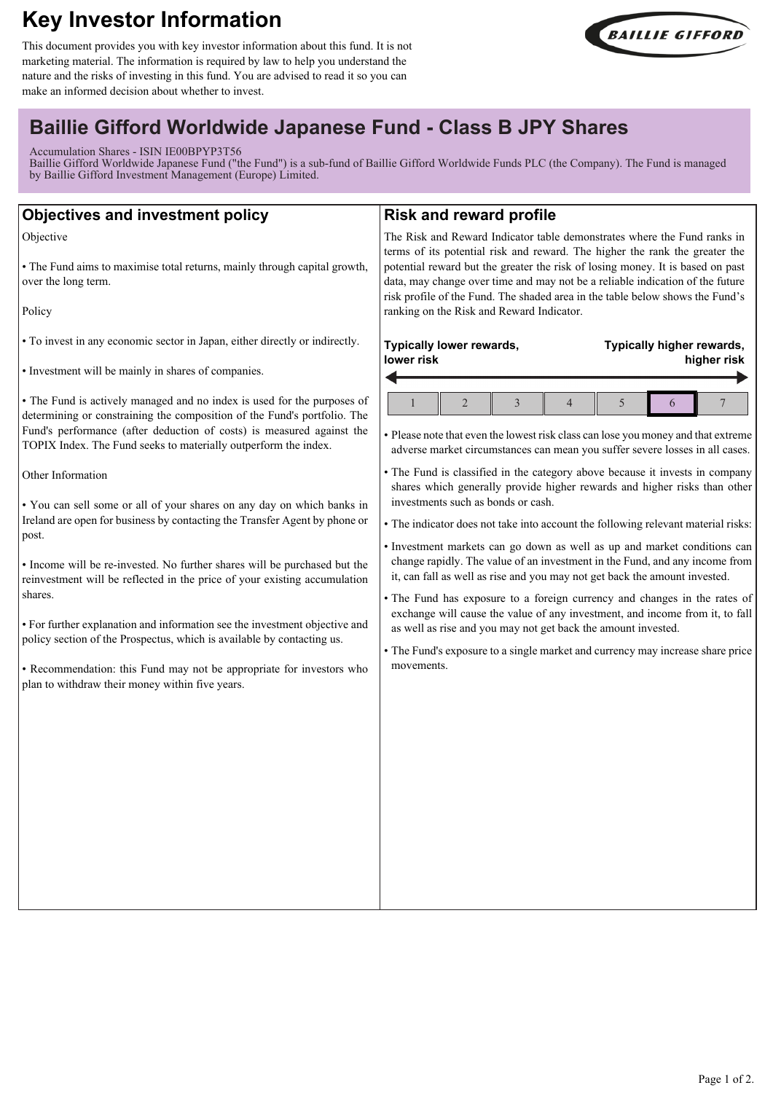# **Key Investor Information**

This document provides you with key investor information about this fund. It is not marketing material. The information is required by law to help you understand the nature and the risks of investing in this fund. You are advised to read it so you can make an informed decision about whether to invest.



## **Baillie Gifford Worldwide Japanese Fund - Class B JPY Shares**

Accumulation Shares - ISIN IE00BPYP3T56

Baillie Gifford Worldwide Japanese Fund ("the Fund") is a sub-fund of Baillie Gifford Worldwide Funds PLC (the Company). The Fund is managed by Baillie Gifford Investment Management (Europe) Limited.

| <b>Objectives and investment policy</b>                                                                                                                                                                                                                                                                                                                                                                                                                                                                                                                                                                                                                                                                                                                                                                                                                                                                                                                                                                                                                                             | <b>Risk and reward profile</b>                                                                                                                                                                                                                                                                                                                                                                                                                                                                                                                                                                                                                                                                                                                                                                                                                                                                                                                                                                                                                                                                                                                                                 |
|-------------------------------------------------------------------------------------------------------------------------------------------------------------------------------------------------------------------------------------------------------------------------------------------------------------------------------------------------------------------------------------------------------------------------------------------------------------------------------------------------------------------------------------------------------------------------------------------------------------------------------------------------------------------------------------------------------------------------------------------------------------------------------------------------------------------------------------------------------------------------------------------------------------------------------------------------------------------------------------------------------------------------------------------------------------------------------------|--------------------------------------------------------------------------------------------------------------------------------------------------------------------------------------------------------------------------------------------------------------------------------------------------------------------------------------------------------------------------------------------------------------------------------------------------------------------------------------------------------------------------------------------------------------------------------------------------------------------------------------------------------------------------------------------------------------------------------------------------------------------------------------------------------------------------------------------------------------------------------------------------------------------------------------------------------------------------------------------------------------------------------------------------------------------------------------------------------------------------------------------------------------------------------|
| Objective<br>• The Fund aims to maximise total returns, mainly through capital growth,<br>over the long term.<br>Policy                                                                                                                                                                                                                                                                                                                                                                                                                                                                                                                                                                                                                                                                                                                                                                                                                                                                                                                                                             | The Risk and Reward Indicator table demonstrates where the Fund ranks in<br>terms of its potential risk and reward. The higher the rank the greater the<br>potential reward but the greater the risk of losing money. It is based on past<br>data, may change over time and may not be a reliable indication of the future<br>risk profile of the Fund. The shaded area in the table below shows the Fund's<br>ranking on the Risk and Reward Indicator.                                                                                                                                                                                                                                                                                                                                                                                                                                                                                                                                                                                                                                                                                                                       |
| • To invest in any economic sector in Japan, either directly or indirectly.<br>• Investment will be mainly in shares of companies.<br>• The Fund is actively managed and no index is used for the purposes of<br>determining or constraining the composition of the Fund's portfolio. The<br>Fund's performance (after deduction of costs) is measured against the<br>TOPIX Index. The Fund seeks to materially outperform the index.<br>Other Information<br>. You can sell some or all of your shares on any day on which banks in<br>Ireland are open for business by contacting the Transfer Agent by phone or<br>post.<br>• Income will be re-invested. No further shares will be purchased but the<br>reinvestment will be reflected in the price of your existing accumulation<br>shares.<br>• For further explanation and information see the investment objective and<br>policy section of the Prospectus, which is available by contacting us.<br>• Recommendation: this Fund may not be appropriate for investors who<br>plan to withdraw their money within five years. | Typically lower rewards,<br>Typically higher rewards,<br>lower risk<br>higher risk<br>$\overline{2}$<br>3<br>$\overline{4}$<br>5<br>7<br>6<br>• Please note that even the lowest risk class can lose you money and that extreme<br>adverse market circumstances can mean you suffer severe losses in all cases.<br>• The Fund is classified in the category above because it invests in company<br>shares which generally provide higher rewards and higher risks than other<br>investments such as bonds or cash.<br>• The indicator does not take into account the following relevant material risks:<br>· Investment markets can go down as well as up and market conditions can<br>change rapidly. The value of an investment in the Fund, and any income from<br>it, can fall as well as rise and you may not get back the amount invested.<br>• The Fund has exposure to a foreign currency and changes in the rates of<br>exchange will cause the value of any investment, and income from it, to fall<br>as well as rise and you may not get back the amount invested.<br>• The Fund's exposure to a single market and currency may increase share price<br>movements. |